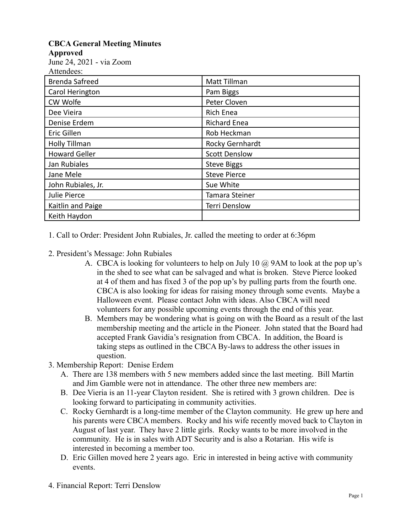## **CBCA General Meeting Minutes**

**Approved**

June 24, 2021 - via Zoom  $A$ ttendees:

| Augulaces.            |                      |
|-----------------------|----------------------|
| <b>Brenda Safreed</b> | Matt Tillman         |
| Carol Herington       | Pam Biggs            |
| CW Wolfe              | Peter Cloven         |
| Dee Vieira            | Rich Enea            |
| Denise Erdem          | <b>Richard Enea</b>  |
| Eric Gillen           | Rob Heckman          |
| <b>Holly Tillman</b>  | Rocky Gernhardt      |
| <b>Howard Geller</b>  | <b>Scott Denslow</b> |
| Jan Rubiales          | <b>Steve Biggs</b>   |
| Jane Mele             | <b>Steve Pierce</b>  |
| John Rubiales, Jr.    | Sue White            |
| Julie Pierce          | Tamara Steiner       |
| Kaitlin and Paige     | <b>Terri Denslow</b> |
| Keith Haydon          |                      |

1. Call to Order: President John Rubiales, Jr. called the meeting to order at 6:36pm

- 2. President's Message: John Rubiales
	- A. CBCA is looking for volunteers to help on July 10  $\omega$  9AM to look at the pop up's in the shed to see what can be salvaged and what is broken. Steve Pierce looked at 4 of them and has fixed 3 of the pop up's by pulling parts from the fourth one. CBCA is also looking for ideas for raising money through some events. Maybe a Halloween event. Please contact John with ideas. Also CBCA will need volunteers for any possible upcoming events through the end of this year.
	- B. Members may be wondering what is going on with the Board as a result of the last membership meeting and the article in the Pioneer. John stated that the Board had accepted Frank Gavidia's resignation from CBCA. In addition, the Board is taking steps as outlined in the CBCA By-laws to address the other issues in question.
- 3. Membership Report: Denise Erdem
	- A. There are 138 members with 5 new members added since the last meeting. Bill Martin and Jim Gamble were not in attendance. The other three new members are:
	- B. Dee Vieria is an 11-year Clayton resident. She is retired with 3 grown children. Dee is looking forward to participating in community activities.
	- C. Rocky Gernhardt is a long-time member of the Clayton community. He grew up here and his parents were CBCA members. Rocky and his wife recently moved back to Clayton in August of last year. They have 2 little girls. Rocky wants to be more involved in the community. He is in sales with ADT Security and is also a Rotarian. His wife is interested in becoming a member too.
	- D. Eric Gillen moved here 2 years ago. Eric in interested in being active with community events.
- 4. Financial Report: Terri Denslow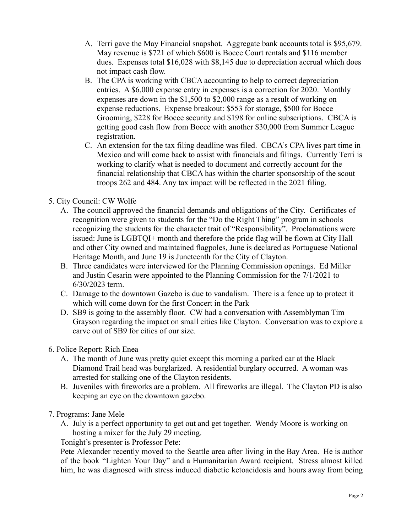- A. Terri gave the May Financial snapshot. Aggregate bank accounts total is \$95,679. May revenue is \$721 of which \$600 is Bocce Court rentals and \$116 member dues. Expenses total \$16,028 with \$8,145 due to depreciation accrual which does not impact cash flow.
- B. The CPA is working with CBCA accounting to help to correct depreciation entries. A \$6,000 expense entry in expenses is a correction for 2020. Monthly expenses are down in the \$1,500 to \$2,000 range as a result of working on expense reductions. Expense breakout: \$553 for storage, \$500 for Bocce Grooming, \$228 for Bocce security and \$198 for online subscriptions. CBCA is getting good cash flow from Bocce with another \$30,000 from Summer League registration.
- C. An extension for the tax filing deadline was filed. CBCA's CPA lives part time in Mexico and will come back to assist with financials and filings. Currently Terri is working to clarify what is needed to document and correctly account for the financial relationship that CBCA has within the charter sponsorship of the scout troops 262 and 484. Any tax impact will be reflected in the 2021 filing.

## 5. City Council: CW Wolfe

- A. The council approved the financial demands and obligations of the City. Certificates of recognition were given to students for the "Do the Right Thing" program in schools recognizing the students for the character trait of "Responsibility". Proclamations were issued: June is LGBTQI+ month and therefore the pride flag will be flown at City Hall and other City owned and maintained flagpoles, June is declared as Portuguese National Heritage Month, and June 19 is Juneteenth for the City of Clayton.
- B. Three candidates were interviewed for the Planning Commission openings. Ed Miller and Justin Cesarin were appointed to the Planning Commission for the 7/1/2021 to 6/30/2023 term.
- C. Damage to the downtown Gazebo is due to vandalism. There is a fence up to protect it which will come down for the first Concert in the Park
- D. SB9 is going to the assembly floor. CW had a conversation with Assemblyman Tim Grayson regarding the impact on small cities like Clayton. Conversation was to explore a carve out of SB9 for cities of our size.

## 6. Police Report: Rich Enea

- A. The month of June was pretty quiet except this morning a parked car at the Black Diamond Trail head was burglarized. A residential burglary occurred. A woman was arrested for stalking one of the Clayton residents.
- B. Juveniles with fireworks are a problem. All fireworks are illegal. The Clayton PD is also keeping an eye on the downtown gazebo.

## 7. Programs: Jane Mele

A. July is a perfect opportunity to get out and get together. Wendy Moore is working on hosting a mixer for the July 29 meeting.

Tonight's presenter is Professor Pete:

Pete Alexander recently moved to the Seattle area after living in the Bay Area. He is author of the book "Lighten Your Day" and a Humanitarian Award recipient. Stress almost killed him, he was diagnosed with stress induced diabetic ketoacidosis and hours away from being